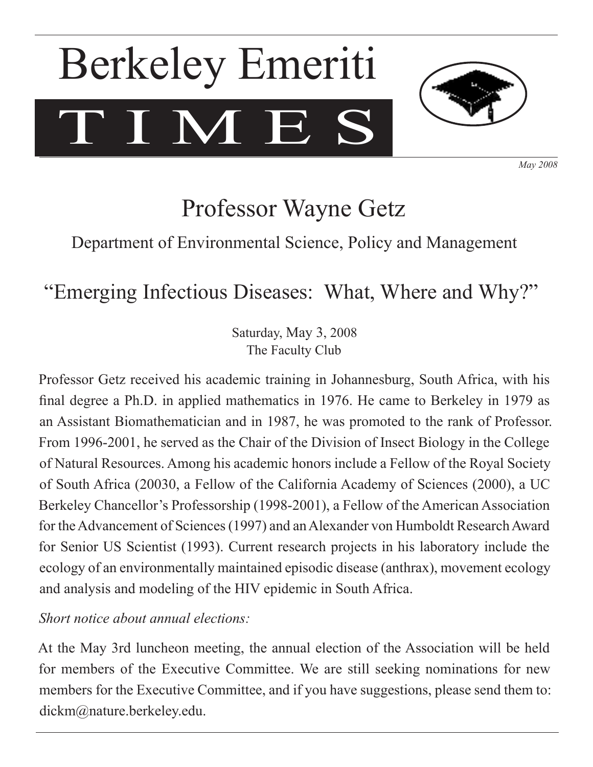# T I M E Berkeley Emeriti



*May 2008*

# Professor Wayne Getz

Department of Environmental Science, Policy and Management

"Emerging Infectious Diseases: What, Where and Why?"

Saturday, May 3, 2008 The Faculty Club

Professor Getz received his academic training in Johannesburg, South Africa, with his final degree a Ph.D. in applied mathematics in 1976. He came to Berkeley in 1979 as an Assistant Biomathematician and in 1987, he was promoted to the rank of Professor. From 1996-2001, he served as the Chair of the Division of Insect Biology in the College of Natural Resources. Among his academic honors include a Fellow of the Royal Society of South Africa (20030, a Fellow of the California Academy of Sciences (2000), a UC Berkeley Chancellor's Professorship (1998-2001), a Fellow of the American Association for the Advancement of Sciences (1997) and an Alexander von Humboldt Research Award for Senior US Scientist (1993). Current research projects in his laboratory include the ecology of an environmentally maintained episodic disease (anthrax), movement ecology and analysis and modeling of the HIV epidemic in South Africa.

*Short notice about annual elections:* 

At the May 3rd luncheon meeting, the annual election of the Association will be held for members of the Executive Committee. We are still seeking nominations for new members for the Executive Committee, and if you have suggestions, please send them to: dickm@nature.berkeley.edu.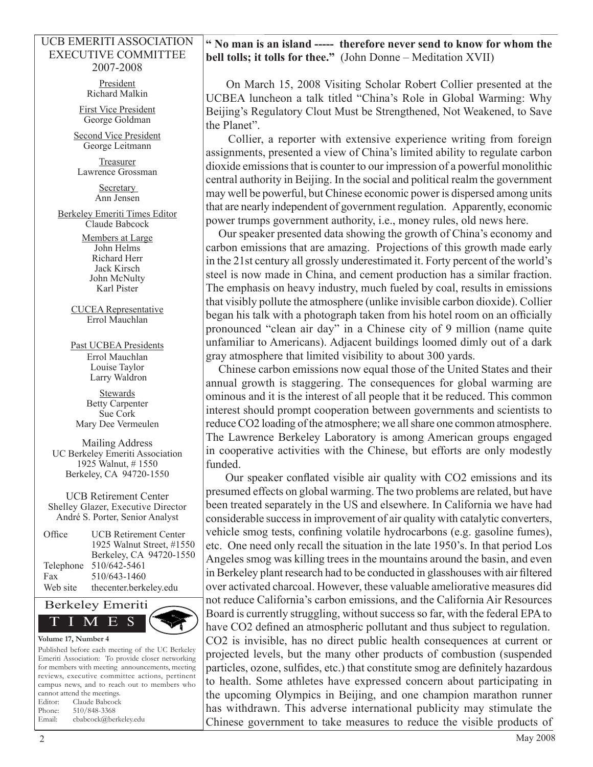#### UCB EMERITI ASSOCIATION EXECUTIVE COMMITTEE 2007-2008

President Richard Malkin

First Vice President George Goldman

Second Vice President George Leitmann

Treasurer Lawrence Grossman

> Secretary Ann Jensen

Berkeley Emeriti Times Editor Claude Babcock

> Members at Large John Helms Richard Herr Jack Kirsch John McNulty Karl Pister

CUCEA Representative Errol Mauchlan

Past UCBEA Presidents Errol Mauchlan Louise Taylor Larry Waldron

Stewards Betty Carpenter Sue Cork Mary Dee Vermeulen

Mailing Address UC Berkeley Emeriti Association 1925 Walnut, # 1550 Berkeley, CA 94720-1550

UCB Retirement Center Shelley Glazer, Executive Director André S. Porter, Senior Analyst

Office UCB Retirement Center 1925 Walnut Street, #1550 Berkeley, CA 94720-1550 Telephone 510/642-5461 Fax 510/643-1460 Web site thecenter.berkeley.edu



Published before each meeting of the UC Berkeley Emeriti Association: To provide closer networking for members with meeting announcements, meeting reviews, executive committee actions, pertinent campus news, and to reach out to members who cannot attend the meetings. Editor: Claude Babcock Phone: 510/848-3368 Email: cbabcock@berkeley.edu

**" No man is an island ----- therefore never send to know for whom the bell tolls; it tolls for thee."** (John Donne – Meditation XVII)

 On March 15, 2008 Visiting Scholar Robert Collier presented at the UCBEA luncheon a talk titled "China's Role in Global Warming: Why Beijing's Regulatory Clout Must be Strengthened, Not Weakened, to Save the Planet".

 Collier, a reporter with extensive experience writing from foreign assignments, presented a view of China's limited ability to regulate carbon dioxide emissions that is counter to our impression of a powerful monolithic central authority in Beijing. In the social and political realm the government may well be powerful, but Chinese economic power is dispersed among units that are nearly independent of government regulation. Apparently, economic power trumps government authority, i.e., money rules, old news here.

 Our speaker presented data showing the growth of China's economy and carbon emissions that are amazing. Projections of this growth made early in the 21st century all grossly underestimated it. Forty percent of the world's steel is now made in China, and cement production has a similar fraction. The emphasis on heavy industry, much fueled by coal, results in emissions that visibly pollute the atmosphere (unlike invisible carbon dioxide). Collier began his talk with a photograph taken from his hotel room on an officially pronounced "clean air day" in a Chinese city of 9 million (name quite unfamiliar to Americans). Adjacent buildings loomed dimly out of a dark gray atmosphere that limited visibility to about 300 yards.

 Chinese carbon emissions now equal those of the United States and their annual growth is staggering. The consequences for global warming are ominous and it is the interest of all people that it be reduced. This common interest should prompt cooperation between governments and scientists to reduce CO2 loading of the atmosphere; we all share one common atmosphere. The Lawrence Berkeley Laboratory is among American groups engaged in cooperative activities with the Chinese, but efforts are only modestly funded.

 Our speaker conflated visible air quality with CO2 emissions and its presumed effects on global warming. The two problems are related, but have been treated separately in the US and elsewhere. In California we have had considerable success in improvement of air quality with catalytic converters, vehicle smog tests, confining volatile hydrocarbons (e.g. gasoline fumes), etc. One need only recall the situation in the late 1950's. In that period Los Angeles smog was killing trees in the mountains around the basin, and even in Berkeley plant research had to be conducted in glasshouses with air filtered over activated charcoal. However, these valuable ameliorative measures did not reduce California's carbon emissions, and the California Air Resources Board is currently struggling, without success so far, with the federal EPA to have CO2 defined an atmospheric pollutant and thus subject to regulation. CO2 is invisible, has no direct public health consequences at current or projected levels, but the many other products of combustion (suspended particles, ozone, sulfides, etc.) that constitute smog are definitely hazardous to health. Some athletes have expressed concern about participating in the upcoming Olympics in Beijing, and one champion marathon runner has withdrawn. This adverse international publicity may stimulate the

Chinese government to take measures to reduce the visible products of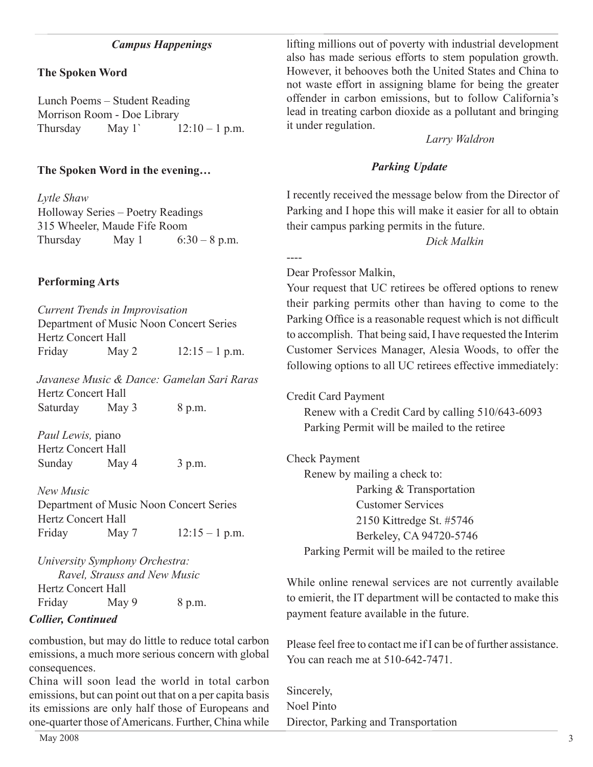#### *Campus Happenings*

#### **The Spoken Word**

Lunch Poems – Student Reading Morrison Room - Doe Library Thursday May 1  $12:10-1$  p.m.

#### **The Spoken Word in the evening…**

*Lytle Shaw* Holloway Series – Poetry Readings 315 Wheeler, Maude Fife Room Thursday May 1  $6:30 - 8$  p.m.

#### **Performing Arts**

*Current Trends in Improvisation*  Department of Music Noon Concert Series Hertz Concert Hall Friday May 2  $12:15 - 1$  p.m.

*Javanese Music & Dance: Gamelan Sari Raras* Hertz Concert Hall Saturday May 3 8 p.m.

*Paul Lewis,* piano Hertz Concert Hall Sunday May 4 3 p.m.

*New Music* Department of Music Noon Concert Series Hertz Concert Hall Friday May 7  $12:15 - 1$  p.m.

*University Symphony Orchestra: Ravel, Strauss and New Music* Hertz Concert Hall Friday May 9 8 p.m.

#### *Collier, Continued*

combustion, but may do little to reduce total carbon emissions, a much more serious concern with global consequences.

China will soon lead the world in total carbon emissions, but can point out that on a per capita basis its emissions are only half those of Europeans and one-quarter those of Americans. Further, China while

lifting millions out of poverty with industrial development also has made serious efforts to stem population growth. However, it behooves both the United States and China to not waste effort in assigning blame for being the greater offender in carbon emissions, but to follow California's lead in treating carbon dioxide as a pollutant and bringing it under regulation.

#### *Larry Waldron*

#### *Parking Update*

I recently received the message below from the Director of Parking and I hope this will make it easier for all to obtain their campus parking permits in the future.

 *Dick Malkin*

### Dear Professor Malkin,

----

Your request that UC retirees be offered options to renew their parking permits other than having to come to the Parking Office is a reasonable request which is not difficult to accomplish. That being said, I have requested the Interim Customer Services Manager, Alesia Woods, to offer the following options to all UC retirees effective immediately:

Credit Card Payment

Renew with a Credit Card by calling 510/643-6093 Parking Permit will be mailed to the retiree

## Check Payment

Renew by mailing a check to: Parking & Transportation Customer Services 2150 Kittredge St. #5746 Berkeley, CA 94720-5746 Parking Permit will be mailed to the retiree

While online renewal services are not currently available to emierit, the IT department will be contacted to make this payment feature available in the future.

Please feel free to contact me if I can be of further assistance. You can reach me at 510-642-7471.

Sincerely, Noel Pinto Director, Parking and Transportation